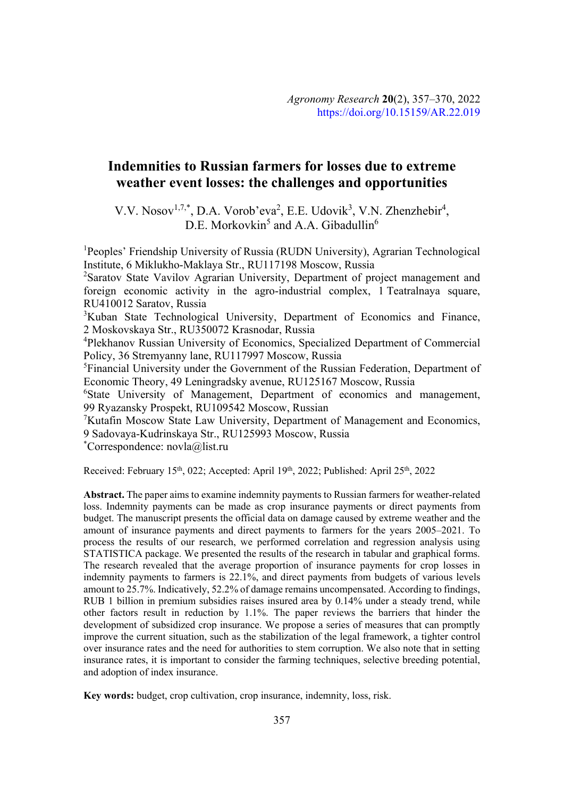# **Indemnities to Russian farmers for losses due to extreme weather event losses: the challenges and opportunities**

V.V. Nosov<sup>1,7,\*</sup>, D.A. Vorob'eva<sup>2</sup>, E.E. Udovik<sup>3</sup>, V.N. Zhenzhebir<sup>4</sup>,  $D.E.$  Morkovkin<sup>5</sup> and A.A. Gibadullin<sup>6</sup>

<sup>1</sup>Peoples' Friendship University of Russia (RUDN University), Agrarian Technological Institute, 6 Miklukho-Maklaya Str., RU117198 Moscow, Russia

<sup>2</sup>Saratov State Vavilov Agrarian University, Department of project management and foreign economic activity in the agro-industrial complex, 1 Teatralnaya square, RU410012 Saratov, Russia

<sup>3</sup>Kuban State Technological University, Department of Economics and Finance, 2 Moskovskaya Str., RU350072 Krasnodar, Russia

<sup>4</sup>Plekhanov Russian University of Economics, Specialized Department of Commercial Policy, 36 Stremyanny lane, RU117997 Moscow, Russia

<sup>5</sup>Financial University under the Government of the Russian Federation, Department of Economic Theory, 49 Leningradsky avenue, RU125167 Moscow, Russia

<sup>6</sup>State University of Management, Department of economics and management, 99 Ryazansky Prospekt, RU109542 Moscow, Russian

<sup>7</sup>Kutafin Moscow State Law University, Department of Management and Economics, 9 Sadovaya-Kudrinskaya Str., RU125993 Moscow, Russia

\* Correspondence: novla@list.ru

Received: February 15<sup>th</sup>, 022; Accepted: April 19<sup>th</sup>, 2022; Published: April 25<sup>th</sup>, 2022

**Abstract.** The paper aims to examine indemnity payments to Russian farmers for weather-related loss. Indemnity payments can be made as crop insurance payments or direct payments from budget. The manuscript presents the official data on damage caused by extreme weather and the amount of insurance payments and direct payments to farmers for the years 2005–2021. To process the results of our research, we performed correlation and regression analysis using STATISTICA package. We presented the results of the research in tabular and graphical forms. The research revealed that the average proportion of insurance payments for crop losses in indemnity payments to farmers is 22.1%, and direct payments from budgets of various levels amount to 25.7%. Indicatively, 52.2% of damage remains uncompensated. According to findings, RUB 1 billion in premium subsidies raises insured area by 0.14% under a steady trend, while other factors result in reduction by 1.1%. The paper reviews the barriers that hinder the development of subsidized crop insurance. We propose a series of measures that can promptly improve the current situation, such as the stabilization of the legal framework, a tighter control over insurance rates and the need for authorities to stem corruption. We also note that in setting insurance rates, it is important to consider the farming techniques, selective breeding potential, and adoption of index insurance.

**Key words:** budget, crop cultivation, crop insurance, indemnity, loss, risk.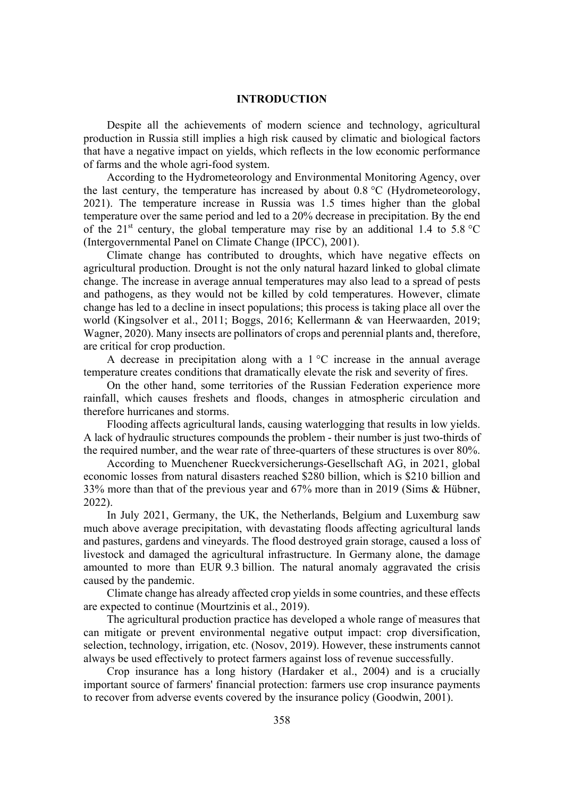#### **INTRODUCTION**

Despite all the achievements of modern science and technology, agricultural production in Russia still implies a high risk caused by climatic and biological factors that have a negative impact on yields, which reflects in the low economic performance of farms and the whole agri-food system.

According to the Hydrometeorology and Environmental Monitoring Agency, over the last century, the temperature has increased by about 0.8 °C (Hydrometeorology, 2021). The temperature increase in Russia was 1.5 times higher than the global temperature over the same period and led to a 20% decrease in precipitation. By the end of the 21<sup>st</sup> century, the global temperature may rise by an additional 1.4 to 5.8 °C (Intergovernmental Panel on Climate Change (IPCC), 2001).

Climate change has contributed to droughts, which have negative effects on agricultural production. Drought is not the only natural hazard linked to global climate change. The increase in average annual temperatures may also lead to a spread of pests and pathogens, as they would not be killed by cold temperatures. However, climate change has led to a decline in insect populations; this process is taking place all over the world (Kingsolver et al., 2011; Boggs, 2016; Kellermann & van Heerwaarden, 2019; Wagner, 2020). Many insects are pollinators of crops and perennial plants and, therefore, are critical for crop production.

A decrease in precipitation along with a  $1 \degree C$  increase in the annual average temperature creates conditions that dramatically elevate the risk and severity of fires.

On the other hand, some territories of the Russian Federation experience more rainfall, which causes freshets and floods, changes in atmospheric circulation and therefore hurricanes and storms.

Flooding affects agricultural lands, causing waterlogging that results in low yields. A lack of hydraulic structures compounds the problem - their number is just two-thirds of the required number, and the wear rate of three-quarters of these structures is over 80%.

According to Muenchener Rueckversicherungs-Gesellschaft AG, in 2021, global economic losses from natural disasters reached \$280 billion, which is \$210 billion and 33% more than that of the previous year and 67% more than in 2019 (Sims & Hübner, 2022).

In July 2021, Germany, the UK, the Netherlands, Belgium and Luxemburg saw much above average precipitation, with devastating floods affecting agricultural lands and pastures, gardens and vineyards. The flood destroyed grain storage, caused a loss of livestock and damaged the agricultural infrastructure. In Germany alone, the damage amounted to more than EUR 9.3 billion. The natural anomaly aggravated the crisis caused by the pandemic.

Climate change has already affected crop yields in some countries, and these effects are expected to continue (Mourtzinis et al., 2019).

The agricultural production practice has developed a whole range of measures that can mitigate or prevent environmental negative output impact: crop diversification, selection, technology, irrigation, etc. (Nosov, 2019). However, these instruments cannot always be used effectively to protect farmers against loss of revenue successfully.

Crop insurance has a long history (Hardaker et al., 2004) and is a crucially important source of farmers' financial protection: farmers use crop insurance payments to recover from adverse events covered by the insurance policy (Goodwin, 2001).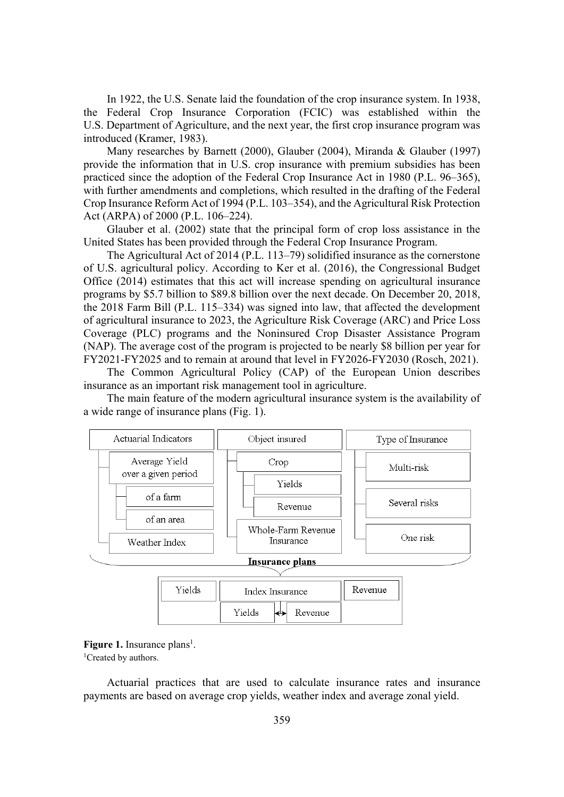In 1922, the U.S. Senate laid the foundation of the crop insurance system. In 1938, the Federal Crop Insurance Corporation (FCIC) was established within the U.S. Department of Agriculture, and the next year, the first crop insurance program was introduced (Kramer, 1983).

Many researches by Barnett (2000), Glauber (2004), Miranda & Glauber (1997) provide the information that in U.S. crop insurance with premium subsidies has been practiced since the adoption of the Federal Crop Insurance Act in 1980 (P.L. 96–365), with further amendments and completions, which resulted in the drafting of the Federal Crop Insurance Reform Act of 1994 (P.L. 103–354), and the Agricultural Risk Protection Act (ARPA) of 2000 (P.L. 106–224).

Glauber et al. (2002) state that the principal form of crop loss assistance in the United States has been provided through the Federal Crop Insurance Program.

The Agricultural Act of 2014 (P.L. 113–79) solidified insurance as the cornerstone of U.S. agricultural policy. According to Ker et al. (2016), the Congressional Budget Office (2014) estimates that this act will increase spending on agricultural insurance programs by \$5.7 billion to \$89.8 billion over the next decade. On December 20, 2018, the 2018 Farm Bill (P.L. 115–334) was signed into law, that affected the development of agricultural insurance to 2023, the Agriculture Risk Coverage (ARC) and Price Loss Coverage (PLC) programs and the Noninsured Crop Disaster Assistance Program (NAP). The average cost of the program is projected to be nearly \$8 billion per year for FY2021-FY2025 and to remain at around that level in FY2026-FY2030 (Rosch, 2021).

The Common Agricultural Policy (CAP) of the European Union describes insurance as an important risk management tool in agriculture.

The main feature of the modern agricultural insurance system is the availability of a wide range of insurance plans (Fig. 1).



Figure 1. Insurance plans<sup>1</sup>.

<sup>1</sup>Created by authors.

Actuarial practices that are used to calculate insurance rates and insurance payments are based on average crop yields, weather index and average zonal yield.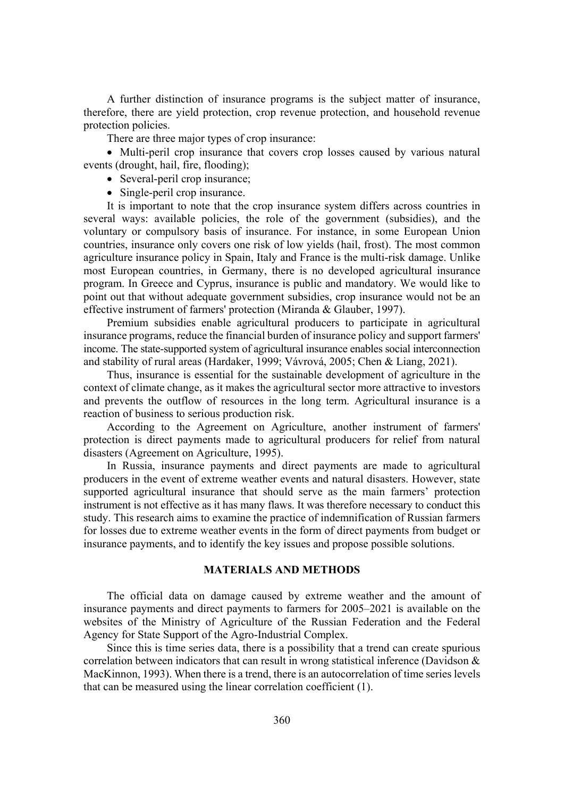A further distinction of insurance programs is the subject matter of insurance, therefore, there are yield protection, crop revenue protection, and household revenue protection policies.

There are three major types of crop insurance:

• Multi-peril crop insurance that covers crop losses caused by various natural events (drought, hail, fire, flooding);

- Several-peril crop insurance;
- $\bullet$  Single-peril crop insurance.

It is important to note that the crop insurance system differs across countries in several ways: available policies, the role of the government (subsidies), and the voluntary or compulsory basis of insurance. For instance, in some European Union countries, insurance only covers one risk of low yields (hail, frost). The most common agriculture insurance policy in Spain, Italy and France is the multi-risk damage. Unlike most European countries, in Germany, there is no developed agricultural insurance program. In Greece and Cyprus, insurance is public and mandatory. We would like to point out that without adequate government subsidies, crop insurance would not be an effective instrument of farmers' protection (Miranda & Glauber, 1997).

Premium subsidies enable agricultural producers to participate in agricultural insurance programs, reduce the financial burden of insurance policy and support farmers' income. The state-supported system of agricultural insurance enables social interconnection and stability of rural areas (Hardaker, 1999; Vávrová, 2005; Chen & Liang, 2021).

Thus, insurance is essential for the sustainable development of agriculture in the context of climate change, as it makes the agricultural sector more attractive to investors and prevents the outflow of resources in the long term. Agricultural insurance is a reaction of business to serious production risk.

According to the Agreement on Agriculture, another instrument of farmers' protection is direct payments made to agricultural producers for relief from natural disasters (Agreement on Agriculture, 1995).

In Russia, insurance payments and direct payments are made to agricultural producers in the event of extreme weather events and natural disasters. However, state supported agricultural insurance that should serve as the main farmers' protection instrument is not effective as it has many flaws. It was therefore necessary to conduct this study. This research aims to examine the practice of indemnification of Russian farmers for losses due to extreme weather events in the form of direct payments from budget or insurance payments, and to identify the key issues and propose possible solutions.

## **MATERIALS AND METHODS**

The official data on damage caused by extreme weather and the amount of insurance payments and direct payments to farmers for 2005–2021 is available on the websites of the Ministry of Agriculture of the Russian Federation and the Federal Agency for State Support of the Agro-Industrial Complex.

Since this is time series data, there is a possibility that a trend can create spurious correlation between indicators that can result in wrong statistical inference (Davidson & MacKinnon, 1993). When there is a trend, there is an autocorrelation of time series levels that can be measured using the linear correlation coefficient (1).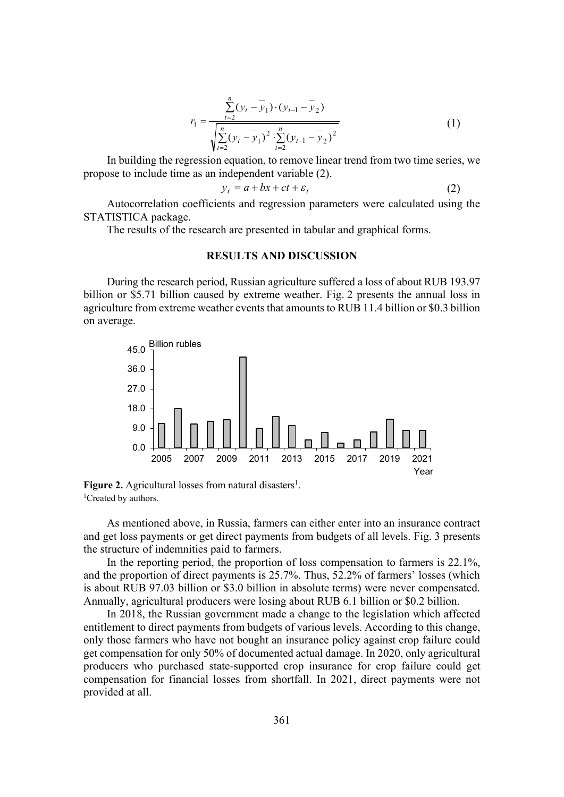$$
r_1 = \frac{\sum_{t=2}^{n} (y_t - \overline{y}_1) \cdot (y_{t-1} - \overline{y}_2)}{\sqrt{\sum_{t=2}^{n} (y_t - \overline{y}_1)^2 \cdot \sum_{t=2}^{n} (y_{t-1} - \overline{y}_2)^2}}
$$
(1)

In building the regression equation, to remove linear trend from two time series, we propose to include time as an independent variable (2).

$$
y_t = a + bx + ct + \varepsilon_t \tag{2}
$$

Autocorrelation coefficients and regression parameters were calculated using the STATISTICA package.

The results of the research are presented in tabular and graphical forms.

## **RESULTS AND DISCUSSION**

During the research period, Russian agriculture suffered a loss of about RUB 193.97 billion or \$5.71 billion caused by extreme weather. Fig. 2 presents the annual loss in agriculture from extreme weather events that amounts to RUB 11.4 billion or \$0.3 billion on average.



Figure 2. Agricultural losses from natural disasters<sup>1</sup>. <sup>1</sup>Created by authors.

As mentioned above, in Russia, farmers can either enter into an insurance contract and get loss payments or get direct payments from budgets of all levels. Fig. 3 presents the structure of indemnities paid to farmers.

In the reporting period, the proportion of loss compensation to farmers is 22.1%, and the proportion of direct payments is 25.7%. Thus, 52.2% of farmers' losses (which is about RUB 97.03 billion or \$3.0 billion in absolute terms) were never compensated. Annually, agricultural producers were losing about RUB 6.1 billion or \$0.2 billion.

In 2018, the Russian government made a change to the legislation which affected entitlement to direct payments from budgets of various levels. According to this change, only those farmers who have not bought an insurance policy against crop failure could get compensation for only 50% of documented actual damage. In 2020, only agricultural producers who purchased state-supported crop insurance for crop failure could get compensation for financial losses from shortfall. In 2021, direct payments were not provided at all.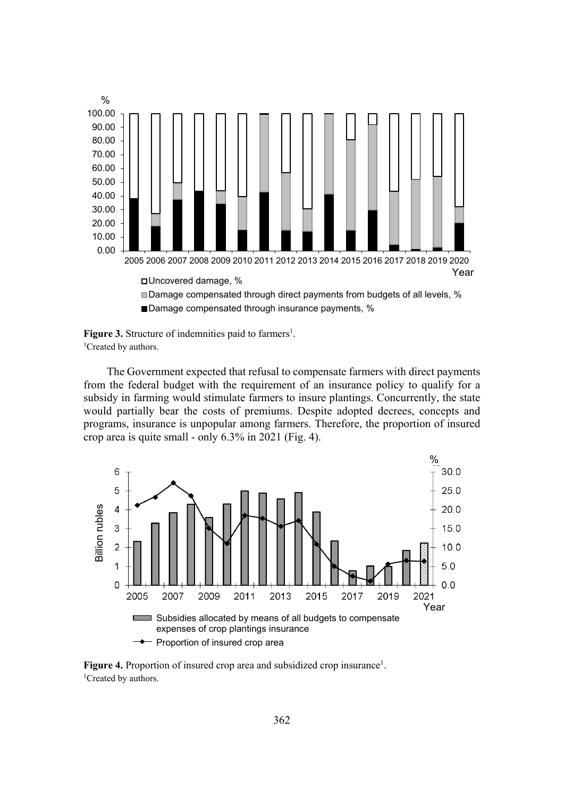



The Government expected that refusal to compensate farmers with direct payments from the federal budget with the requirement of an insurance policy to qualify for a subsidy in farming would stimulate farmers to insure plantings. Concurrently, the state would partially bear the costs of premiums. Despite adopted decrees, concepts and programs, insurance is unpopular among farmers. Therefore, the proportion of insured crop area is quite small - only 6.3% in 2021 (Fig. 4).



Figure 4. Proportion of insured crop area and subsidized crop insurance<sup>1</sup>. <sup>1</sup>Created by authors.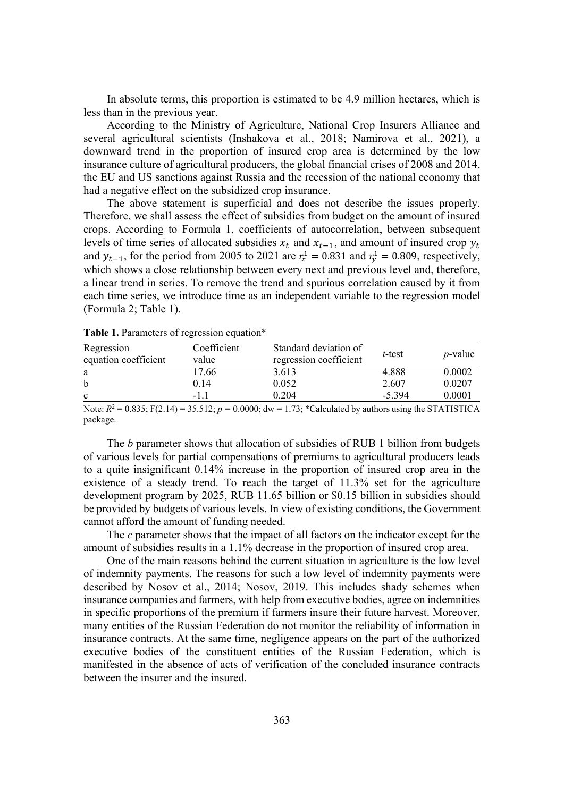In absolute terms, this proportion is estimated to be 4.9 million hectares, which is less than in the previous year.

According to the Ministry of Agriculture, National Crop Insurers Alliance and several agricultural scientists (Inshakova et al., 2018; Namirova et al., 2021), a downward trend in the proportion of insured crop area is determined by the low insurance culture of agricultural producers, the global financial crises of 2008 and 2014, the EU and US sanctions against Russia and the recession of the national economy that had a negative effect on the subsidized crop insurance.

The above statement is superficial and does not describe the issues properly. Therefore, we shall assess the effect of subsidies from budget on the amount of insured crops. According to Formula 1, coefficients of autocorrelation, between subsequent levels of time series of allocated subsidies  $x_t$  and  $x_{t-1}$ , and amount of insured crop  $y_t$ and  $y_{t-1}$ , for the period from 2005 to 2021 are  $r_x^1 = 0.831$  and  $r_y^1 = 0.809$ , respectively, which shows a close relationship between every next and previous level and, therefore, a linear trend in series. To remove the trend and spurious correlation caused by it from each time series, we introduce time as an independent variable to the regression model (Formula 2; Table 1).

| Coefficient | Standard deviation of  | t-test   | <i>p</i> -value |
|-------------|------------------------|----------|-----------------|
| value       | regression coefficient |          |                 |
| 17.66       | 3.613                  | 4.888    | 0.0002          |
| 0.14        | 0.052                  | 2.607    | 0.0207          |
| -1.1        | 0.204                  | $-5.394$ | 0.0001          |
|             |                        |          |                 |

**Table 1.** Parameters of regression equation\*

Note:  $R^2 = 0.835$ ;  $F(2.14) = 35.512$ ;  $p = 0.0000$ ;  $dw = 1.73$ ; \*Calculated by authors using the STATISTICA package.

The *b* parameter shows that allocation of subsidies of RUB 1 billion from budgets of various levels for partial compensations of premiums to agricultural producers leads to a quite insignificant 0.14% increase in the proportion of insured crop area in the existence of a steady trend. To reach the target of 11.3% set for the agriculture development program by 2025, RUB 11.65 billion or \$0.15 billion in subsidies should be provided by budgets of various levels. In view of existing conditions, the Government cannot afford the amount of funding needed.

The *c* parameter shows that the impact of all factors on the indicator except for the amount of subsidies results in a 1.1% decrease in the proportion of insured crop area.

One of the main reasons behind the current situation in agriculture is the low level of indemnity payments. The reasons for such a low level of indemnity payments were described by Nosov et al., 2014; Nosov, 2019. This includes shady schemes when insurance companies and farmers, with help from executive bodies, agree on indemnities in specific proportions of the premium if farmers insure their future harvest. Moreover, many entities of the Russian Federation do not monitor the reliability of information in insurance contracts. At the same time, negligence appears on the part of the authorized executive bodies of the constituent entities of the Russian Federation, which is manifested in the absence of acts of verification of the concluded insurance contracts between the insurer and the insured.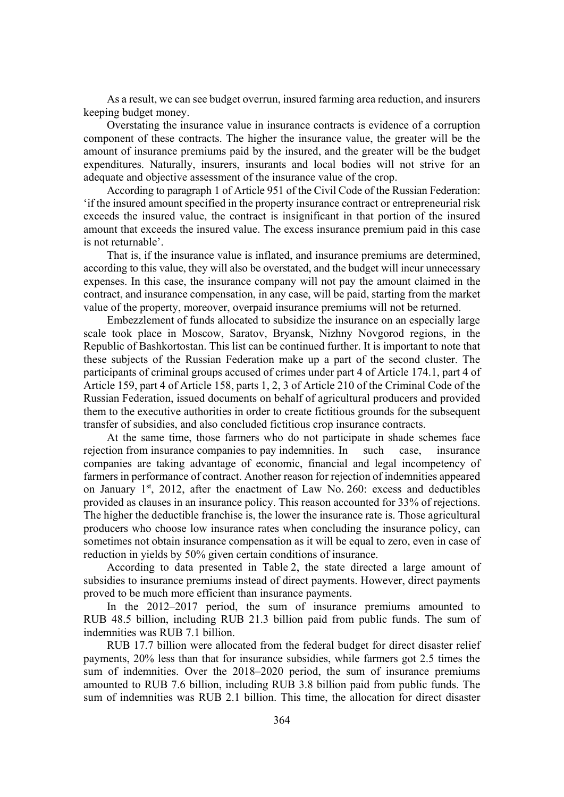As a result, we can see budget overrun, insured farming area reduction, and insurers keeping budget money.

Overstating the insurance value in insurance contracts is evidence of a corruption component of these contracts. The higher the insurance value, the greater will be the amount of insurance premiums paid by the insured, and the greater will be the budget expenditures. Naturally, insurers, insurants and local bodies will not strive for an adequate and objective assessment of the insurance value of the crop.

According to paragraph 1 of Article 951 of the Civil Code of the Russian Federation: 'if the insured amount specified in the property insurance contract or entrepreneurial risk exceeds the insured value, the contract is insignificant in that portion of the insured amount that exceeds the insured value. The excess insurance premium paid in this case is not returnable'.

That is, if the insurance value is inflated, and insurance premiums are determined, according to this value, they will also be overstated, and the budget will incur unnecessary expenses. In this case, the insurance company will not pay the amount claimed in the contract, and insurance compensation, in any case, will be paid, starting from the market value of the property, moreover, overpaid insurance premiums will not be returned.

Embezzlement of funds allocated to subsidize the insurance on an especially large scale took place in Moscow, Saratov, Bryansk, Nizhny Novgorod regions, in the Republic of Bashkortostan. This list can be continued further. It is important to note that these subjects of the Russian Federation make up a part of the second cluster. The participants of criminal groups accused of crimes under part 4 of Article 174.1, part 4 of Article 159, part 4 of Article 158, parts 1, 2, 3 of Article 210 of the Criminal Code of the Russian Federation, issued documents on behalf of agricultural producers and provided them to the executive authorities in order to create fictitious grounds for the subsequent transfer of subsidies, and also concluded fictitious crop insurance contracts.

At the same time, those farmers who do not participate in shade schemes face rejection from insurance companies to pay indemnities. In such case, insurance companies are taking advantage of economic, financial and legal incompetency of farmers in performance of contract. Another reason for rejection of indemnities appeared on January  $1<sup>st</sup>$ , 2012, after the enactment of Law No. 260: excess and deductibles provided as clauses in an insurance policy. This reason accounted for 33% of rejections. The higher the deductible franchise is, the lower the insurance rate is. Those agricultural producers who choose low insurance rates when concluding the insurance policy, can sometimes not obtain insurance compensation as it will be equal to zero, even in case of reduction in yields by 50% given certain conditions of insurance.

According to data presented in Table 2, the state directed a large amount of subsidies to insurance premiums instead of direct payments. However, direct payments proved to be much more efficient than insurance payments.

In the 2012–2017 period, the sum of insurance premiums amounted to RUB 48.5 billion, including RUB 21.3 billion paid from public funds. The sum of indemnities was RUB 7.1 billion.

RUB 17.7 billion were allocated from the federal budget for direct disaster relief payments, 20% less than that for insurance subsidies, while farmers got 2.5 times the sum of indemnities. Over the 2018–2020 period, the sum of insurance premiums amounted to RUB 7.6 billion, including RUB 3.8 billion paid from public funds. The sum of indemnities was RUB 2.1 billion. This time, the allocation for direct disaster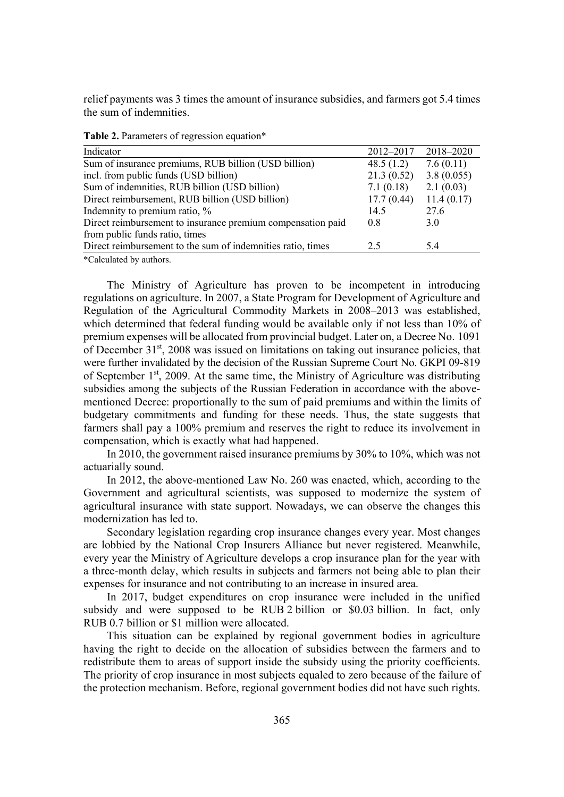relief payments was 3 times the amount of insurance subsidies, and farmers got 5.4 times the sum of indemnities.

| Indicator                                                   | 2012-2017    | 2018-2020  |
|-------------------------------------------------------------|--------------|------------|
| Sum of insurance premiums, RUB billion (USD billion)        | 48.5 $(1.2)$ | 7.6(0.11)  |
| incl. from public funds (USD billion)                       | 21.3(0.52)   | 3.8(0.055) |
| Sum of indemnities, RUB billion (USD billion)               | 7.1(0.18)    | 2.1(0.03)  |
| Direct reimbursement, RUB billion (USD billion)             | 17.7(0.44)   | 11.4(0.17) |
| Indemnity to premium ratio, %                               | 14.5         | 27.6       |
| Direct reimbursement to insurance premium compensation paid | 0.8          | 3.0        |
| from public funds ratio, times                              |              |            |
| Direct reimbursement to the sum of indemnities ratio, times | 2.5          | 5.4        |
|                                                             |              |            |

**Table 2.** Parameters of regression equation\*

\*Calculated by authors.

The Ministry of Agriculture has proven to be incompetent in introducing regulations on agriculture. In 2007, a State Program for Development of Agriculture and Regulation of the Agricultural Commodity Markets in 2008–2013 was established, which determined that federal funding would be available only if not less than 10% of premium expenses will be allocated from provincial budget. Later on, a Decree No. 1091 of December 31st, 2008 was issued on limitations on taking out insurance policies, that were further invalidated by the decision of the Russian Supreme Court No. GKPI 09-819 of September  $1<sup>st</sup>$ , 2009. At the same time, the Ministry of Agriculture was distributing subsidies among the subjects of the Russian Federation in accordance with the abovementioned Decree: proportionally to the sum of paid premiums and within the limits of budgetary commitments and funding for these needs. Thus, the state suggests that farmers shall pay a 100% premium and reserves the right to reduce its involvement in compensation, which is exactly what had happened.

In 2010, the government raised insurance premiums by 30% to 10%, which was not actuarially sound.

In 2012, the above-mentioned Law No. 260 was enacted, which, according to the Government and agricultural scientists, was supposed to modernize the system of agricultural insurance with state support. Nowadays, we can observe the changes this modernization has led to.

Secondary legislation regarding crop insurance changes every year. Most changes are lobbied by the National Crop Insurers Alliance but never registered. Meanwhile, every year the Ministry of Agriculture develops a crop insurance plan for the year with a three-month delay, which results in subjects and farmers not being able to plan their expenses for insurance and not contributing to an increase in insured area.

In 2017, budget expenditures on crop insurance were included in the unified subsidy and were supposed to be RUB 2 billion or \$0.03 billion. In fact, only RUB 0.7 billion or \$1 million were allocated.

This situation can be explained by regional government bodies in agriculture having the right to decide on the allocation of subsidies between the farmers and to redistribute them to areas of support inside the subsidy using the priority coefficients. The priority of crop insurance in most subjects equaled to zero because of the failure of the protection mechanism. Before, regional government bodies did not have such rights.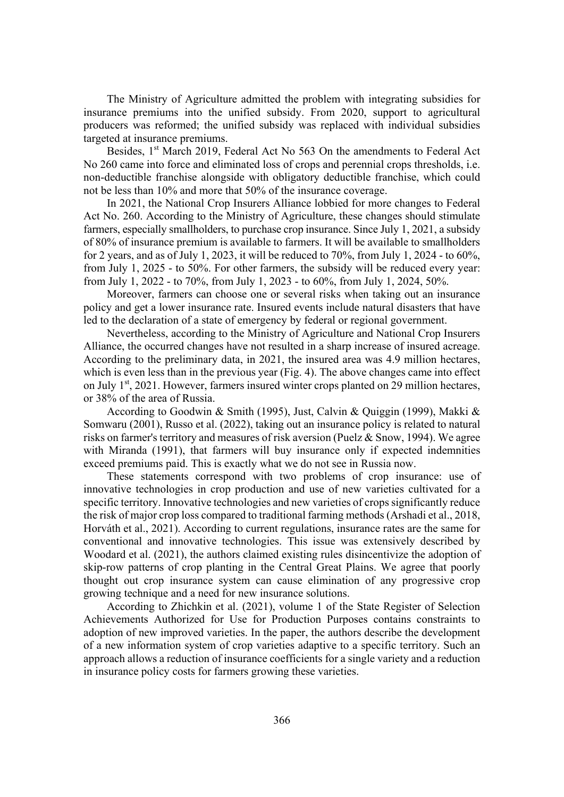The Ministry of Agriculture admitted the problem with integrating subsidies for insurance premiums into the unified subsidy. From 2020, support to agricultural producers was reformed; the unified subsidy was replaced with individual subsidies targeted at insurance premiums.

Besides, 1<sup>st</sup> March 2019, Federal Act No 563 On the amendments to Federal Act No 260 came into force and eliminated loss of crops and perennial crops thresholds, i.e. non-deductible franchise alongside with obligatory deductible franchise, which could not be less than 10% and more that 50% of the insurance coverage.

In 2021, the National Crop Insurers Alliance lobbied for more changes to Federal Act No. 260. According to the Ministry of Agriculture, these changes should stimulate farmers, especially smallholders, to purchase crop insurance. Since July 1, 2021, a subsidy of 80% of insurance premium is available to farmers. It will be available to smallholders for 2 years, and as of July 1, 2023, it will be reduced to 70%, from July 1, 2024 - to 60%, from July 1, 2025 - to 50%. For other farmers, the subsidy will be reduced every year: from July 1, 2022 - to 70%, from July 1, 2023 - to 60%, from July 1, 2024, 50%.

Moreover, farmers can choose one or several risks when taking out an insurance policy and get a lower insurance rate. Insured events include natural disasters that have led to the declaration of a state of emergency by federal or regional government.

Nevertheless, according to the Ministry of Agriculture and National Crop Insurers Alliance, the occurred changes have not resulted in a sharp increase of insured acreage. According to the preliminary data, in 2021, the insured area was 4.9 million hectares, which is even less than in the previous year (Fig. 4). The above changes came into effect on July  $1<sup>st</sup>$ , 2021. However, farmers insured winter crops planted on 29 million hectares, or 38% of the area of Russia.

According to Goodwin & Smith (1995), Just, Calvin & Quiggin (1999), Makki & Somwaru (2001), Russo et al. (2022), taking out an insurance policy is related to natural risks on farmer's territory and measures of risk aversion (Puelz & Snow, 1994). We agree with Miranda (1991), that farmers will buy insurance only if expected indemnities exceed premiums paid. This is exactly what we do not see in Russia now.

These statements correspond with two problems of crop insurance: use of innovative technologies in crop production and use of new varieties cultivated for a specific territory. Innovative technologies and new varieties of crops significantly reduce the risk of major crop loss compared to traditional farming methods (Arshadi et al., 2018, Horváth et al., 2021). According to current regulations, insurance rates are the same for conventional and innovative technologies. This issue was extensively described by Woodard et al. (2021), the authors claimed existing rules disincentivize the adoption of skip-row patterns of crop planting in the Central Great Plains. We agree that poorly thought out crop insurance system can cause elimination of any progressive crop growing technique and a need for new insurance solutions.

According to Zhichkin et al. (2021), volume 1 of the State Register of Selection Achievements Authorized for Use for Production Purposes contains constraints to adoption of new improved varieties. In the paper, the authors describe the development of a new information system of crop varieties adaptive to a specific territory. Such an approach allows a reduction of insurance coefficients for a single variety and a reduction in insurance policy costs for farmers growing these varieties.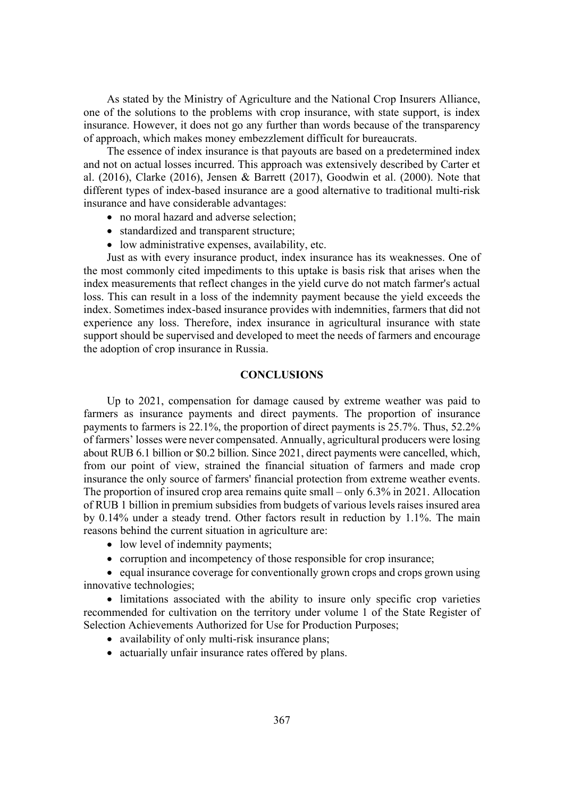As stated by the Ministry of Agriculture and the National Crop Insurers Alliance, one of the solutions to the problems with crop insurance, with state support, is index insurance. However, it does not go any further than words because of the transparency of approach, which makes money embezzlement difficult for bureaucrats.

The essence of index insurance is that payouts are based on a predetermined index and not on actual losses incurred. This approach was extensively described by Carter et al. (2016), Clarke (2016), Jensen & Barrett (2017), Goodwin et al. (2000). Note that different types of index-based insurance are a good alternative to traditional multi-risk insurance and have considerable advantages:

- no moral hazard and adverse selection;
- standardized and transparent structure;
- $\bullet$  low administrative expenses, availability, etc.

Just as with every insurance product, index insurance has its weaknesses. One of the most commonly cited impediments to this uptake is basis risk that arises when the index measurements that reflect changes in the yield curve do not match farmer's actual loss. This can result in a loss of the indemnity payment because the yield exceeds the index. Sometimes index-based insurance provides with indemnities, farmers that did not experience any loss. Therefore, index insurance in agricultural insurance with state support should be supervised and developed to meet the needs of farmers and encourage the adoption of crop insurance in Russia.

#### **CONCLUSIONS**

Up to 2021, compensation for damage caused by extreme weather was paid to farmers as insurance payments and direct payments. The proportion of insurance payments to farmers is 22.1%, the proportion of direct payments is 25.7%. Thus, 52.2% of farmers' losses were never compensated. Annually, agricultural producers were losing about RUB 6.1 billion or \$0.2 billion. Since 2021, direct payments were cancelled, which, from our point of view, strained the financial situation of farmers and made crop insurance the only source of farmers' financial protection from extreme weather events. The proportion of insured crop area remains quite small – only 6.3% in 2021. Allocation of RUB 1 billion in premium subsidies from budgets of various levels raises insured area by 0.14% under a steady trend. Other factors result in reduction by 1.1%. The main reasons behind the current situation in agriculture are:

- low level of indemnity payments;
- corruption and incompetency of those responsible for crop insurance;

• equal insurance coverage for conventionally grown crops and crops grown using innovative technologies;

• limitations associated with the ability to insure only specific crop varieties recommended for cultivation on the territory under volume 1 of the State Register of Selection Achievements Authorized for Use for Production Purposes;

- $\bullet$  availability of only multi-risk insurance plans;
- actuarially unfair insurance rates offered by plans.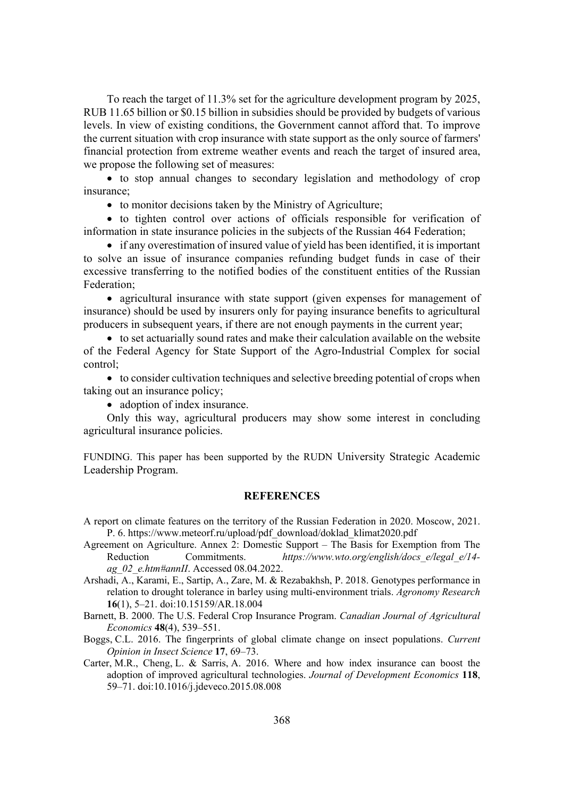To reach the target of 11.3% set for the agriculture development program by 2025, RUB 11.65 billion or \$0.15 billion in subsidies should be provided by budgets of various levels. In view of existing conditions, the Government cannot afford that. To improve the current situation with crop insurance with state support as the only source of farmers' financial protection from extreme weather events and reach the target of insured area, we propose the following set of measures:

• to stop annual changes to secondary legislation and methodology of crop insurance;

 $\bullet$  to monitor decisions taken by the Ministry of Agriculture;

• to tighten control over actions of officials responsible for verification of information in state insurance policies in the subjects of the Russian 464 Federation;

 $\bullet$  if any overestimation of insured value of yield has been identified, it is important to solve an issue of insurance companies refunding budget funds in case of their excessive transferring to the notified bodies of the constituent entities of the Russian Federation;

• agricultural insurance with state support (given expenses for management of insurance) should be used by insurers only for paying insurance benefits to agricultural producers in subsequent years, if there are not enough payments in the current year;

 $\bullet$  to set actuarially sound rates and make their calculation available on the website of the Federal Agency for State Support of the Agro-Industrial Complex for social control;

 $\bullet$  to consider cultivation techniques and selective breeding potential of crops when taking out an insurance policy;

• adoption of index insurance.

Only this way, agricultural producers may show some interest in concluding agricultural insurance policies.

FUNDING. This paper has been supported by the RUDN University Strategic Academic Leadership Program.

### **REFERENCES**

- A report on climate features on the territory of the Russian Federation in 2020. Moscow, 2021. P. 6. https://www.meteorf.ru/upload/pdf\_download/doklad\_klimat2020.pdf
- Agreement on Agriculture. Annex 2: Domestic Support The Basis for Exemption from The Reduction Commitments. *https://www.wto.org/english/docs e/legal e/14*ag 02 e.htm#annII. Accessed 08.04.2022.
- Arshadi, A., Karami, E., Sartip, A., Zare, M. & Rezabakhsh, P. 2018. Genotypes performance in relation to drought tolerance in barley using multi-environment trials. *Agronomy Research* **16**(1), 5–21. doi:10.15159/AR.18.004

Barnett, B. 2000. The U.S. Federal Crop Insurance Program. *Canadian Journal of Agricultural Economics* 48(4), 539–551.

Boggs, C.L. 2016. The fingerprints of global climate change on insect populations. *Current <u>Opinion in Insect Science 17, 69–73.</u>* 

Carter, M.R., Cheng, L. & Sarris, A. 2016. Where and how index insurance can boost the adoption of improved agricultural technologies. *Journal of Development Economics* 118, 59–71. doi:10.1016/j.jdeveco.2015.08.008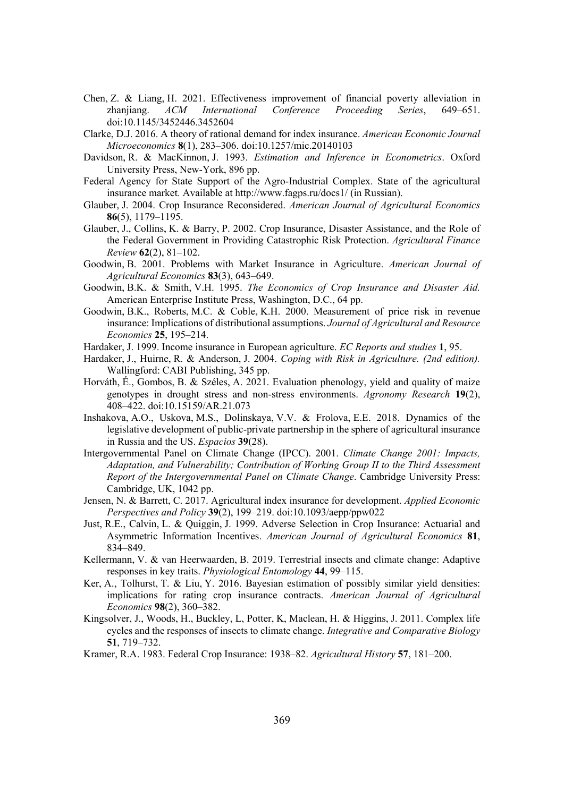- Chen, Z. & Liang, H. 2021. Effectiveness improvement of financial poverty alleviation in zhanjiang. *ACM International Conference Proceeding Series*, 649–651. doi:10.1145/3452446.3452604
- Clarke, D.J. 2016. A theory of rational demand for index insurance. *American Economic Journal Microeconomics* 8(1), 283–306. doi:10.1257/mic.20140103
- Davidson, R. & MacKinnon, J. 1993. *Estimation and Inference in Econometrics*. Oxford University Press, New-York, 896 pp.
- Federal Agency for State Support of the Agro-Industrial Complex. State of the agricultural insurance market*.* Available at http://www.fagps.ru/docs1/ (in Russian).
- Glauber, J. 2004. Crop Insurance Reconsidered. *American Journal of Agricultural Economics* **86**(5), 1179–1195.
- Glauber, J., Collins, K. & Barry, P. 2002. Crop Insurance, Disaster Assistance, and the Role of the Federal Government in Providing Catastrophic Risk Protection. *Agricultural Finance Review* **62**(2), 81–102.
- Goodwin, B. 2001. Problems with Market Insurance in Agriculture. *American Journal of Agricultural Economics* 83(3), 643–649.
- Goodwin, B.K. & Smith, V.H. 1995. *The Economics of Crop Insurance and Disaster Aid.* American Enterprise Institute Press, Washington, D.C., 64 pp.
- Goodwin, B.K., Roberts, M.C. & Coble, K.H. 2000. Measurement of price risk in revenue insurance: Implications of distributional assumptions. *Journal of Agricultural and Resource Economics* 25, 195–214.
- Hardaker, J. 1999. Income insurance in European agriculture. *EC Reports and studies* 1, 95.
- Hardaker, J., Huirne, R. & Anderson, J. 2004. *Coping with Risk in Agriculture. (2nd edition)*. Wallingford: CABI Publishing, 345 pp.
- Horváth, É., Gombos, B. & Széles, A. 2021. Evaluation phenology, yield and quality of maize genotypes in drought stress and non-stress environments. *Agronomy Research* **19**(2), 408–422. doi:10.15159/AR.21.073
- Inshakova, A.O., Uskova, M.S., Dolinskaya, V.V. & Frolova, E.E. 2018. Dynamics of the legislative development of public-private partnership in the sphere of agricultural insurance in Russia and the US. *Espacios* 39(28).
- Intergovernmental Panel on Climate Change (IPCC). 2001. *Climate Change 2001: Impacts*, *Adaptation, and Vulnerability; Contribution of Working Group II to the Third Assessment Report of the Intergovernmental Panel on Climate Change. Cambridge University Press:* Cambridge, UK, 1042 pp.
- Jensen, N. & Barrett, C. 2017. Agricultural index insurance for development. *Applied Economic Perspectives and Policy* 39(2), 199–219. doi:10.1093/aepp/ppw022
- Just, R.E., Calvin, L. & Quiggin, J. 1999. Adverse Selection in Crop Insurance: Actuarial and Asymmetric Information Incentives. *American Journal of Agricultural Economics* 81, 834–849.
- Kellermann, V. & van Heerwaarden, B. 2019. Terrestrial insects and climate change: Adaptive responses in key traits. *Physiological Entomology* 44, 99–115.
- Ker, A., Tolhurst, T. & Liu, Y. 2016. Bayesian estimation of possibly similar yield densities: implications for rating crop insurance contracts. *American Journal of Agricultural Economics* 98(2), 360–382.
- Kingsolver, J., Woods, H., Buckley, L, Potter, K, Maclean, H. & Higgins, J. 2011. Complex life cycles and the responses of insects to climate change. *Integrative and Comparative Biology* **51**, 719–732.
- Kramer, R.A. 1983. Federal Crop Insurance: 1938–82. *Agricultural History* 57, 181–200.